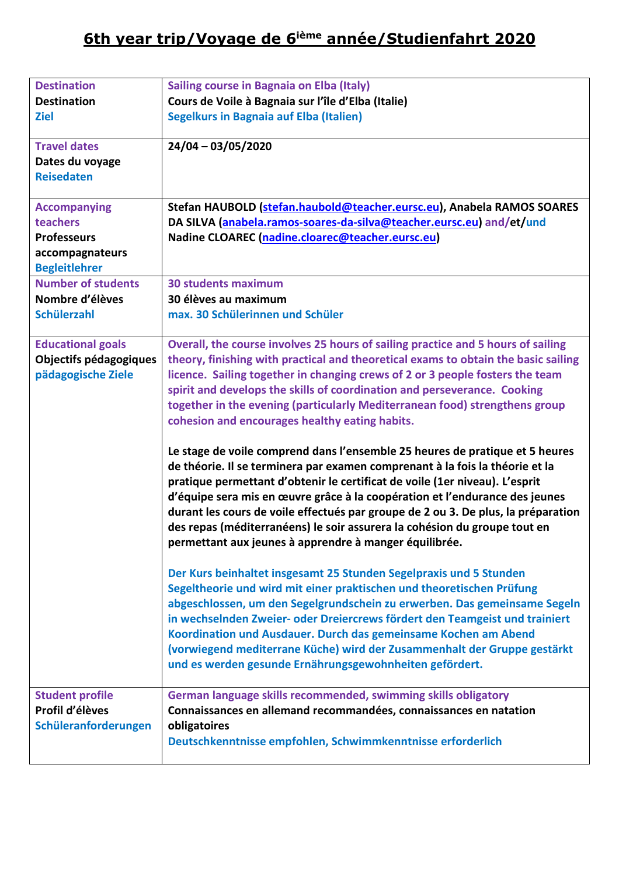## **6th year trip/Voyage de 6ième année/Studienfahrt 2020**

| <b>Destination</b>        | Sailing course in Bagnaia on Elba (Italy)                                          |
|---------------------------|------------------------------------------------------------------------------------|
| <b>Destination</b>        | Cours de Voile à Bagnaia sur l'île d'Elba (Italie)                                 |
| <b>Ziel</b>               | <b>Segelkurs in Bagnaia auf Elba (Italien)</b>                                     |
|                           |                                                                                    |
| <b>Travel dates</b>       | $24/04 - 03/05/2020$                                                               |
| Dates du voyage           |                                                                                    |
| <b>Reisedaten</b>         |                                                                                    |
|                           |                                                                                    |
| <b>Accompanying</b>       | Stefan HAUBOLD (stefan.haubold@teacher.eursc.eu), Anabela RAMOS SOARES             |
| teachers                  | DA SILVA (anabela.ramos-soares-da-silva@teacher.eursc.eu) and/et/und               |
| <b>Professeurs</b>        | Nadine CLOAREC (nadine.cloarec@teacher.eursc.eu)                                   |
| accompagnateurs           |                                                                                    |
| <b>Begleitlehrer</b>      |                                                                                    |
| <b>Number of students</b> | <b>30 students maximum</b>                                                         |
| Nombre d'élèves           | 30 élèves au maximum                                                               |
| <b>Schülerzahl</b>        | max. 30 Schülerinnen und Schüler                                                   |
| <b>Educational goals</b>  | Overall, the course involves 25 hours of sailing practice and 5 hours of sailing   |
| Objectifs pédagogiques    | theory, finishing with practical and theoretical exams to obtain the basic sailing |
| pädagogische Ziele        | licence. Sailing together in changing crews of 2 or 3 people fosters the team      |
|                           | spirit and develops the skills of coordination and perseverance. Cooking           |
|                           | together in the evening (particularly Mediterranean food) strengthens group        |
|                           | cohesion and encourages healthy eating habits.                                     |
|                           |                                                                                    |
|                           | Le stage de voile comprend dans l'ensemble 25 heures de pratique et 5 heures       |
|                           | de théorie. Il se terminera par examen comprenant à la fois la théorie et la       |
|                           | pratique permettant d'obtenir le certificat de voile (1er niveau). L'esprit        |
|                           | d'équipe sera mis en œuvre grâce à la coopération et l'endurance des jeunes        |
|                           | durant les cours de voile effectués par groupe de 2 ou 3. De plus, la préparation  |
|                           | des repas (méditerranéens) le soir assurera la cohésion du groupe tout en          |
|                           | permettant aux jeunes à apprendre à manger équilibrée.                             |
|                           |                                                                                    |
|                           | Der Kurs beinhaltet insgesamt 25 Stunden Segelpraxis und 5 Stunden                 |
|                           | Segeltheorie und wird mit einer praktischen und theoretischen Prüfung              |
|                           | abgeschlossen, um den Segelgrundschein zu erwerben. Das gemeinsame Segeln          |
|                           | in wechselnden Zweier- oder Dreiercrews fördert den Teamgeist und trainiert        |
|                           | Koordination und Ausdauer. Durch das gemeinsame Kochen am Abend                    |
|                           | (vorwiegend mediterrane Küche) wird der Zusammenhalt der Gruppe gestärkt           |
|                           | und es werden gesunde Ernährungsgewohnheiten gefördert.                            |
|                           |                                                                                    |
| <b>Student profile</b>    | German language skills recommended, swimming skills obligatory                     |
| Profil d'élèves           | Connaissances en allemand recommandées, connaissances en natation                  |
| Schüleranforderungen      | obligatoires                                                                       |
|                           | Deutschkenntnisse empfohlen, Schwimmkenntnisse erforderlich                        |
|                           |                                                                                    |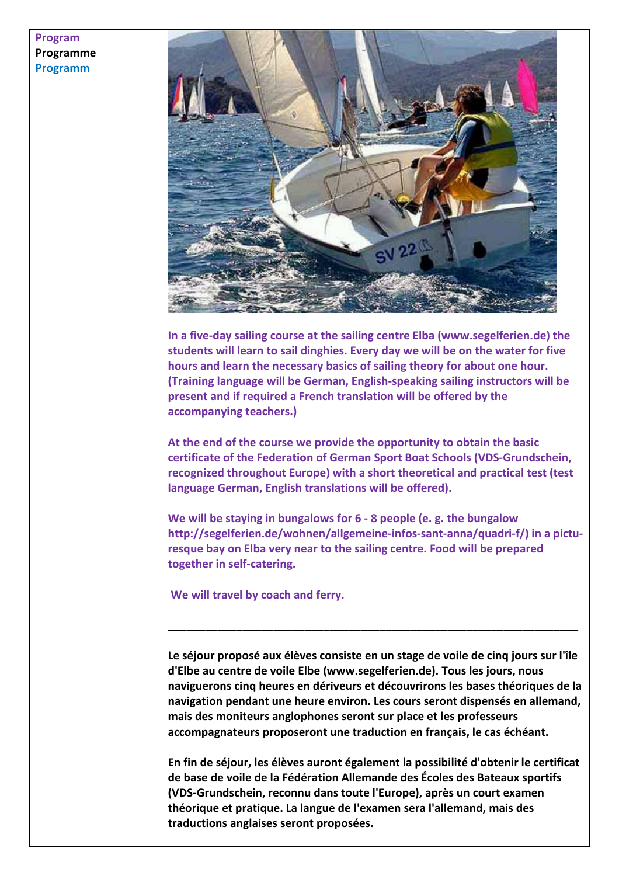## **Program Programme Programm**



**In a five-day sailing course at the sailing centre Elba (www.segelferien.de) the students will learn to sail dinghies. Every day we will be on the water for five hours and learn the necessary basics of sailing theory for about one hour. (Training language will be German, English-speaking sailing instructors will be present and if required a French translation will be offered by the accompanying teachers.)** 

**At the end of the course we provide the opportunity to obtain the basic certificate of the Federation of German Sport Boat Schools (VDS-Grundschein, recognized throughout Europe) with a short theoretical and practical test (test language German, English translations will be offered).** 

**We will be staying in bungalows for 6 - 8 people (e. g. the bungalow http://segelferien.de/wohnen/allgemeine-infos-sant-anna/quadri-f/) in a picturesque bay on Elba very near to the sailing centre. Food will be prepared together in self-catering.** 

 **We will travel by coach and ferry.** 

**Le séjour proposé aux élèves consiste en un stage de voile de cinq jours sur l'île d'Elbe au centre de voile Elbe (www.segelferien.de). Tous les jours, nous naviguerons cinq heures en dériveurs et découvrirons les bases théoriques de la navigation pendant une heure environ. Les cours seront dispensés en allemand, mais des moniteurs anglophones seront sur place et les professeurs accompagnateurs proposeront une traduction en français, le cas échéant.** 

**\_\_\_\_\_\_\_\_\_\_\_\_\_\_\_\_\_\_\_\_\_\_\_\_\_\_\_\_\_\_\_\_\_\_\_\_\_\_\_\_\_\_\_\_\_\_\_\_\_\_\_\_\_\_\_\_\_\_\_\_\_\_\_\_\_\_** 

**En fin de séjour, les élèves auront également la possibilité d'obtenir le certificat de base de voile de la Fédération Allemande des Écoles des Bateaux sportifs (VDS-Grundschein, reconnu dans toute l'Europe), après un court examen théorique et pratique. La langue de l'examen sera l'allemand, mais des traductions anglaises seront proposées.**